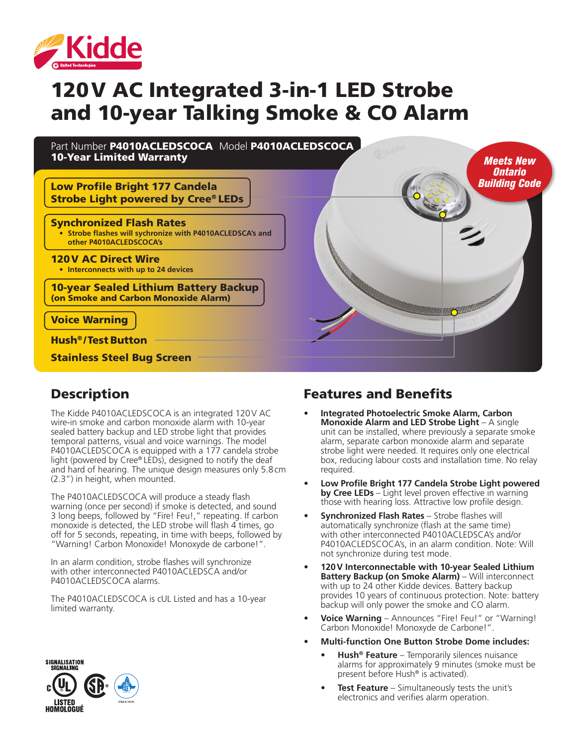

# 120V AC Integrated 3-in-1 LED Strobe and 10-year Talking Smoke & CO Alarm

Part Number P4010ACLEDSCOCA Model P4010ACLEDSCOCA 10-Year Limited Warranty

Low Profile Bright 177 Candela Strobe Light powered by Cree® LEDs

#### Synchronized Flash Rates

**• Strobe flashes will sychronize with P4010ACLEDSCA's and other P4010ACLEDSCOCA's**

120V AC Direct Wire

**• Interconnects with up to 24 devices**

10-year Sealed Lithium Battery Backup (on Smoke and Carbon Monoxide Alarm)

Voice Warning

Hush® /Test Button

Stainless Steel Bug Screen

#### Description

The Kidde P4010ACLEDSCOCA is an integrated 120V AC wire-in smoke and carbon monoxide alarm with 10-year sealed battery backup and LED strobe light that provides temporal patterns, visual and voice warnings. The model P4010ACLEDSCOCA is equipped with a 177 candela strobe light (powered by Cree® LEDs), designed to notify the deaf and hard of hearing. The unique design measures only 5.8cm (2.3") in height, when mounted.

The P4010ACLEDSCOCA will produce a steady flash warning (once per second) if smoke is detected, and sound 3 long beeps, followed by "Fire! Feu!," repeating. If carbon monoxide is detected, the LED strobe will flash 4 times, go off for 5 seconds, repeating, in time with beeps, followed by "Warning! Carbon Monoxide! Monoxyde de carbone!".

In an alarm condition, strobe flashes will synchronize with other interconnected P4010ACLEDSCA and/or P4010ACLEDSCOCA alarms.

The P4010ACLEDSCOCA is cUL Listed and has a 10-year limited warranty.

#### Features and Benefits

**• Integrated Photoelectric Smoke Alarm, Carbon Monoxide Alarm and LED Strobe Light** – A single unit can be installed, where previously a separate smoke alarm, separate carbon monoxide alarm and separate strobe light were needed. It requires only one electrical box, reducing labour costs and installation time. No relay required.

*Meets New Ontario Building Code*

- **• Low Profile Bright 177 Candela Strobe Light powered by Cree LEDs** – Light level proven effective in warning those with hearing loss. Attractive low profile design.
- **• Synchronized Flash Rates**  Strobe flashes will automatically synchronize (flash at the same time) with other interconnected P4010ACLEDSCA's and/or P4010ACLEDSCOCA's, in an alarm condition. Note: Will not synchronize during test mode.
- **• 120V Interconnectable with 10-year Sealed Lithium Battery Backup (on Smoke Alarm)** – Will interconnect with up to 24 other Kidde devices. Battery backup provides 10 years of continuous protection. Note: battery backup will only power the smoke and CO alarm.
- **• Voice Warning** Announces "Fire! Feu!" or "Warning! Carbon Monoxide! Monoxyde de Carbone!".
- **• Multi-function One Button Strobe Dome includes:**
	- **• Hush® Feature** Temporarily silences nuisance alarms for approximately 9 minutes (smoke must be present before Hush® is activated).
	- **Test Feature** Simultaneously tests the unit's electronics and verifies alarm operation.